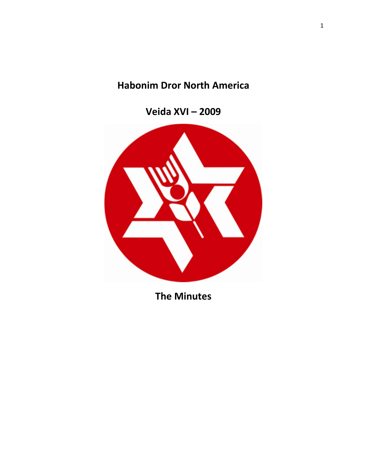# **Habonim Dror North America**

**Veida XVI – 2009** 



**The Minutes**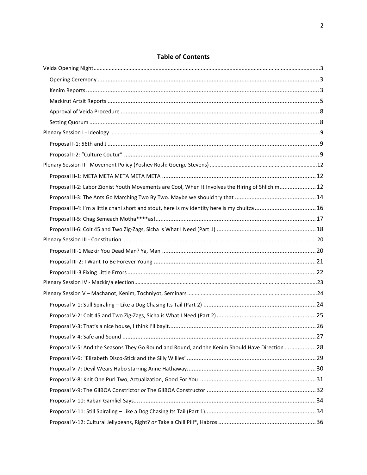| <b>Table of Contents</b> |  |
|--------------------------|--|
|--------------------------|--|

| Proposal II-2: Labor Zionist Youth Movements are Cool, When It Involves the Hiring of Shlichim 12 |  |
|---------------------------------------------------------------------------------------------------|--|
|                                                                                                   |  |
| Proposal II-4: I'm a little chani short and stout, here is my identity here is my chultza  16     |  |
|                                                                                                   |  |
|                                                                                                   |  |
|                                                                                                   |  |
|                                                                                                   |  |
|                                                                                                   |  |
|                                                                                                   |  |
|                                                                                                   |  |
|                                                                                                   |  |
|                                                                                                   |  |
|                                                                                                   |  |
|                                                                                                   |  |
|                                                                                                   |  |
|                                                                                                   |  |
| Proposal V-5: And the Seasons They Go Round and Round, and the Kenim Should Have Direction 28     |  |
|                                                                                                   |  |
|                                                                                                   |  |
|                                                                                                   |  |
|                                                                                                   |  |
|                                                                                                   |  |
|                                                                                                   |  |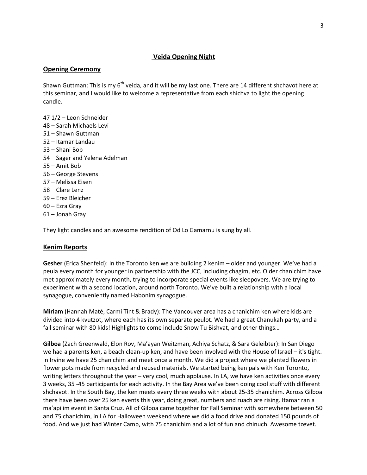# <span id="page-2-0"></span>**Veida Opening Night**

### <span id="page-2-1"></span>**Opening Ceremony**

Shawn Guttman: This is my  $6<sup>th</sup>$  veida, and it will be my last one. There are 14 different shchavot here at this seminar, and I would like to welcome a representative from each shichva to light the opening candle.

47 1/2 – Leon Schneider 48 – Sarah Michaels Levi 51 – Shawn Guttman 52 – Itamar Landau 53 – Shani Bob 54 – Sager and Yelena Adelman 55 – Amit Bob 56 – George Stevens 57 – Melissa Eisen 58 – Clare Lenz 59 – Erez Bleicher 60 – Ezra Gray 61 – Jonah Gray

They light candles and an awesome rendition of Od Lo Gamarnu is sung by all.

### <span id="page-2-2"></span>**Kenim Reports**

**Gesher** (Erica Shenfeld): In the Toronto ken we are building 2 kenim – older and younger. We've had a peula every month for younger in partnership with the JCC, including chagim, etc. Older chanichim have met approximately every month, trying to incorporate special events like sleepovers. We are trying to experiment with a second location, around north Toronto. We've built a relationship with a local synagogue, conveniently named Habonim synagogue.

**Miriam** (Hannah Maté, Carmi Tint & Brady): The Vancouver area has a chanichim ken where kids are divided into 4 kvutzot, where each has its own separate peulot. We had a great Chanukah party, and a fall seminar with 80 kids! Highlights to come include Snow Tu Bishvat, and other things…

**Gilboa** (Zach Greenwald, Elon Rov, Ma'ayan Weitzman, Achiya Schatz, & Sara Geleibter): In San Diego we had a parents ken, a beach clean-up ken, and have been involved with the House of Israel – it's tight. In Irvine we have 25 chanichim and meet once a month. We did a project where we planted flowers in flower pots made from recycled and reused materials. We started being ken pals with Ken Toronto, writing letters throughout the year – very cool, much applause. In LA, we have ken activities once every 3 weeks, 35 -45 participants for each activity. In the Bay Area we've been doing cool stuff with different shchavot. In the South Bay, the ken meets every three weeks with about 25-35 chanichim. Across Gilboa there have been over 25 ken events this year, doing great, numbers and ruach are rising. Itamar ran a ma'apilim event in Santa Cruz. All of Gilboa came together for Fall Seminar with somewhere between 50 and 75 chanichim, in LA for Halloween weekend where we did a food drive and donated 150 pounds of food. And we just had Winter Camp, with 75 chanichim and a lot of fun and chinuch. Awesome tzevet.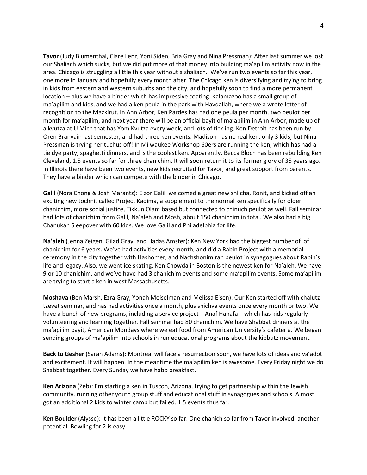**Tavor** (Judy Blumenthal, Clare Lenz, Yoni Siden, Bria Gray and Nina Pressman): After last summer we lost our Shaliach which sucks, but we did put more of that money into building ma'apilim activity now in the area. Chicago is struggling a little this year without a shaliach. We've run two events so far this year, one more in January and hopefully every month after. The Chicago ken is diversifying and trying to bring in kids from eastern and western suburbs and the city, and hopefully soon to find a more permanent location – plus we have a binder which has impressive coating. Kalamazoo has a small group of ma'apilim and kids, and we had a ken peula in the park with Havdallah, where we a wrote letter of recognition to the Mazkirut. In Ann Arbor, Ken Pardes has had one peula per month, two peulot per month for ma'apilim, and next year there will be an official bayit of ma'apilim in Ann Arbor, made up of a kvutza at U Mich that has Yom Kvutza every week, and lots of tickling. Ken Detroit has been run by Oren Branvain last semester, and had three ken events. Madison has no real ken, only 3 kids, but Nina Pressman is trying her tuchus off! In Milwaukee Workshop 60ers are running the ken, which has had a tie dye party, spaghetti dinners, and is the coolest ken. Apparently. Becca Bloch has been rebuilding Ken Cleveland, 1.5 events so far for three chanichim. It will soon return it to its former glory of 35 years ago. In Illinois there have been two events, new kids recruited for Tavor, and great support from parents. They have a binder which can compete with the binder in Chicago.

**Galil** (Nora Chong & Josh Marantz): Eizor Galil welcomed a great new shlicha, Ronit, and kicked off an exciting new tochnit called Project Kadima, a supplement to the normal ken specifically for older chanichim, more social justice, Tikkun Olam based but connected to chinuch peulot as well. Fall seminar had lots of chanichim from Galil, Na'aleh and Mosh, about 150 chanichim in total. We also had a big Chanukah Sleepover with 60 kids. We love Galil and Philadelphia for life.

**Na'aleh** (Jenna Zeigen, Gilad Gray, and Hadas Amster): Ken New York had the biggest number of of chanichim for 6 years. We've had activities every month, and did a Rabin Project with a memorial ceremony in the city together with Hashomer, and Nachshonim ran peulot in synagogues about Rabin's life and legacy. Also, we went ice skating. Ken Chowda in Boston is the newest ken for Na'aleh. We have 9 or 10 chanichim, and we've have had 3 chanichim events and some ma'apilim events. Some ma'apilim are trying to start a ken in west Massachusetts.

**Moshava** (Ben Marsh, Ezra Gray, Yonah Meiselman and Melissa Eisen): Our Ken started off with chalutz tzevet seminar, and has had activities once a month, plus shichva events once every month or two. We have a bunch of new programs, including a service project – Anaf Hanafa – which has kids regularly volunteering and learning together. Fall seminar had 80 chanichim. We have Shabbat dinners at the ma'apilim bayit, American Mondays where we eat food from American University's cafeteria. We began sending groups of ma'apilim into schools in run educational programs about the kibbutz movement.

**Back to Gesher** (Sarah Adams): Montreal will face a resurrection soon, we have lots of ideas and va'adot and excitement. It will happen. In the meantime the ma'apilim ken is awesome. Every Friday night we do Shabbat together. Every Sunday we have habo breakfast.

**Ken Arizona** (Zeb): I'm starting a ken in Tuscon, Arizona, trying to get partnership within the Jewish community, running other youth group stuff and educational stuff in synagogues and schools. Almost got an additional 2 kids to winter camp but failed. 1.5 events thus far.

**Ken Boulder** (Alysse): It has been a little ROCKY so far. One chanich so far from Tavor involved, another potential. Bowling for 2 is easy.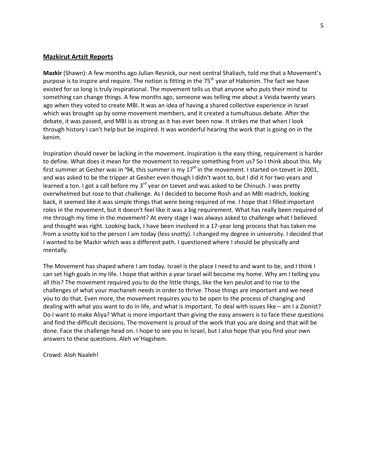#### <span id="page-4-0"></span>**Mazkirut Artzit Reports**

**Mazkir** (Shawn): A few months ago Julian Resnick, our next central Shaliach, told me that a Movement's purpose is to inspire and require. The notion is fitting in the 75<sup>th</sup> year of Habonim. The fact we have existed for so long is truly inspirational. The movement tells us that anyone who puts their mind to something can change things. A few months ago, someone was telling me about a Veida twenty years ago when they voted to create MBI. It was an idea of having a shared collective experience in Israel which was brought up by some movement members, and it created a tumultuous debate. After the debate, it was passed, and MBI is as strong as it has ever been now. It strikes me that when I look through history I can't help but be inspired. It was wonderful hearing the work that is going on in the kenim.

Inspiration should never be lacking in the movement. Inspiration is the easy thing, requirement is harder to define. What does it mean for the movement to require something from us? So I think about this. My first summer at Gesher was in '94, this summer is my  $17<sup>th</sup>$  in the movement. I started on tzevet in 2001, and was asked to be the tripper at Gesher even though I didn't want to, but I did it for two years and learned a ton. I got a call before my  $3^{rd}$  year on tzevet and was asked to be Chinuch. I was pretty overwhelmed but rose to that challenge. As I decided to become Rosh and an MBI madrich, looking back, it seemed like it was simple things that were being required of me. I hope that I filled important roles in the movement, but it doesn't feel like it was a big requirement. What has really been required of me through my time in the movement? At every stage I was always asked to challenge what I believed and thought was right. Looking back, I have been involved in a 17-year long process that has taken me from a snotty kid to the person I am today (less snotty). I changed my degree in university. I decided that I wanted to be Mazkir which was a different path. I questioned where I should be physically and mentally.

The Movement has shaped where I am today. Israel is the place I need to and want to be, and I think I can set high goals in my life. I hope that within a year Israel will become my home. Why am I telling you all this? The movement required you to do the little things, like the ken peulot and to rise to the challenges of what your machaneh needs in order to thrive. Those things are important and we need you to do that. Even more, the movement requires you to be open to the process of changing and dealing with what you want to do in life, and what is important. To deal with issues like – am I a Zionist? Do I want to make Aliya? What is more important than giving the easy answers is to face these questions and find the difficult decisions. The movement is proud of the work that you are doing and that will be done. Face the challenge head on. I hope to see you in Israel, but I also hope that you find your own answers to these questions. Aleh ve'Hagshem.

Crowd: Aloh Naaleh!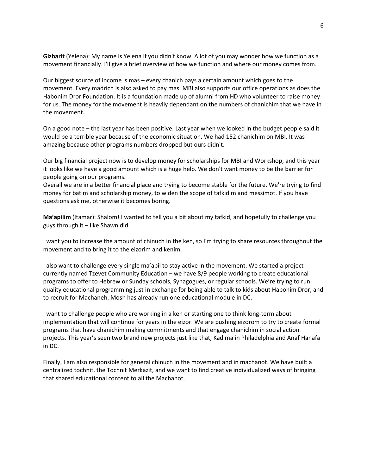**Gizbarit** (Yelena): My name is Yelena if you didn't know. A lot of you may wonder how we function as a movement financially. I'll give a brief overview of how we function and where our money comes from.

Our biggest source of income is mas – every chanich pays a certain amount which goes to the movement. Every madrich is also asked to pay mas. MBI also supports our office operations as does the Habonim Dror Foundation. It is a foundation made up of alumni from HD who volunteer to raise money for us. The money for the movement is heavily dependant on the numbers of chanichim that we have in the movement.

On a good note – the last year has been positive. Last year when we looked in the budget people said it would be a terrible year because of the economic situation. We had 152 chanichim on MBI. It was amazing because other programs numbers dropped but ours didn't.

Our big financial project now is to develop money for scholarships for MBI and Workshop, and this year it looks like we have a good amount which is a huge help. We don't want money to be the barrier for people going on our programs.

Overall we are in a better financial place and trying to become stable for the future. We're trying to find money for batim and scholarship money, to widen the scope of tafkidim and messimot. If you have questions ask me, otherwise it becomes boring.

**Ma'apilim** (Itamar): Shalom! I wanted to tell you a bit about my tafkid, and hopefully to challenge you guys through it – like Shawn did.

I want you to increase the amount of chinuch in the ken, so I'm trying to share resources throughout the movement and to bring it to the eizorim and kenim.

I also want to challenge every single ma'apil to stay active in the movement. We started a project currently named Tzevet Community Education – we have 8/9 people working to create educational programs to offer to Hebrew or Sunday schools, Synagogues, or regular schools. We're trying to run quality educational programming just in exchange for being able to talk to kids about Habonim Dror, and to recruit for Machaneh. Mosh has already run one educational module in DC.

I want to challenge people who are working in a ken or starting one to think long-term about implementation that will continue for years in the eizor. We are pushing eizorom to try to create formal programs that have chanichim making commitments and that engage chanichim in social action projects. This year's seen two brand new projects just like that, Kadima in Philadelphia and Anaf Hanafa in DC.

Finally, I am also responsible for general chinuch in the movement and in machanot. We have built a centralized tochnit, the Tochnit Merkazit, and we want to find creative individualized ways of bringing that shared educational content to all the Machanot.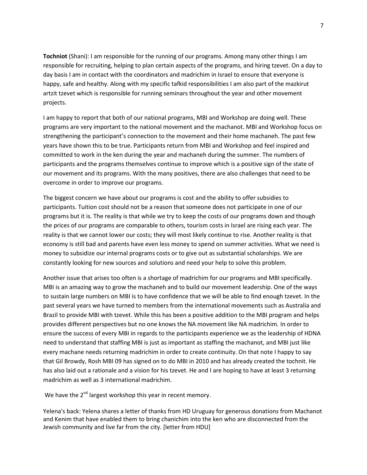**Tochniot** (Shani): I am responsible for the running of our programs. Among many other things I am responsible for recruiting, helping to plan certain aspects of the programs, and hiring tzevet. On a day to day basis I am in contact with the coordinators and madrichim in Israel to ensure that everyone is happy, safe and healthy. Along with my specific tafkid responsibilities I am also part of the mazkirut artzit tzevet which is responsible for running seminars throughout the year and other movement projects.

I am happy to report that both of our national programs, MBI and Workshop are doing well. These programs are very important to the national movement and the machanot. MBI and Workshop focus on strengthening the participant's connection to the movement and their home machaneh. The past few years have shown this to be true. Participants return from MBI and Workshop and feel inspired and committed to work in the ken during the year and machaneh during the summer. The numbers of participants and the programs themselves continue to improve which is a positive sign of the state of our movement and its programs. With the many positives, there are also challenges that need to be overcome in order to improve our programs.

The biggest concern we have about our programs is cost and the ability to offer subsidies to participants. Tuition cost should not be a reason that someone does not participate in one of our programs but it is. The reality is that while we try to keep the costs of our programs down and though the prices of our programs are comparable to others, tourism costs in Israel are rising each year. The reality is that we cannot lower our costs; they will most likely continue to rise. Another reality is that economy is still bad and parents have even less money to spend on summer activities. What we need is money to subsidize our internal programs costs or to give out as substantial scholarships. We are constantly looking for new sources and solutions and need your help to solve this problem.

Another issue that arises too often is a shortage of madrichim for our programs and MBI specifically. MBI is an amazing way to grow the machaneh and to build our movement leadership. One of the ways to sustain large numbers on MBI is to have confidence that we will be able to find enough tzevet. In the past several years we have turned to members from the international movements such as Australia and Brazil to provide MBI with tzevet. While this has been a positive addition to the MBI program and helps provides different perspectives but no one knows the NA movement like NA madrichim*.* In order to ensure the success of every MBI in regards to the participants experience we as the leadership of HDNA need to understand that staffing MBI is just as important as staffing the machanot, and MBI just like every machane needs returning madrichim in order to create continuity. On that note I happy to say that Gil Browdy, Rosh MBI 09 has signed on to do MBI in 2010 and has already created the tochnit. He has also laid out a rationale and a vision for his tzevet. He and I are hoping to have at least 3 returning madrichim as well as 3 international madrichim.

We have the  $2^{nd}$  largest workshop this year in recent memory.

Yelena's back: Yelena shares a letter of thanks from HD Uruguay for generous donations from Machanot and Kenim that have enabled them to bring chanichim into the ken who are disconnected from the Jewish community and live far from the city. [letter from HDU]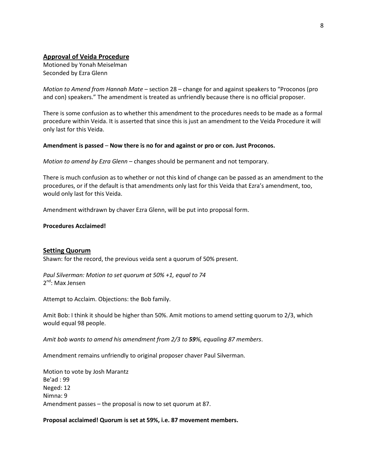### <span id="page-7-0"></span>**Approval of Veida Procedure**

Motioned by Yonah Meiselman Seconded by Ezra Glenn

*Motion to Amend from Hannah Mate* – section 28 – change for and against speakers to "Proconos (pro and con) speakers." The amendment is treated as unfriendly because there is no official proposer.

There is some confusion as to whether this amendment to the procedures needs to be made as a formal procedure within Veida. It is asserted that since this is just an amendment to the Veida Procedure it will only last for this Veida.

#### **Amendment is passed** – **Now there is no for and against or pro or con. Just Proconos.**

*Motion to amend by Ezra Glenn* – changes should be permanent and not temporary.

There is much confusion as to whether or not this kind of change can be passed as an amendment to the procedures, or if the default is that amendments only last for this Veida that Ezra's amendment, too, would only last for this Veida.

Amendment withdrawn by chaver Ezra Glenn, will be put into proposal form.

#### **Procedures Acclaimed!**

#### <span id="page-7-1"></span>**Setting Quorum**

Shawn: for the record, the previous veida sent a quorum of 50% present.

*Paul Silverman: Motion to set quorum at 50% +1, equal to 74*  $2^{nd}$ : Max Jensen

Attempt to Acclaim. Objections: the Bob family.

Amit Bob: I think it should be higher than 50%. Amit motions to amend setting quorum to 2/3, which would equal 98 people.

*Amit bob wants to amend his amendment from 2/3 to 59%, equaling 87 members*.

Amendment remains unfriendly to original proposer chaver Paul Silverman.

Motion to vote by Josh Marantz Be'ad : 99 Neged: 12 Nimna: 9 Amendment passes – the proposal is now to set quorum at 87.

### **Proposal acclaimed! Quorum is set at 59%, i.e. 87 movement members.**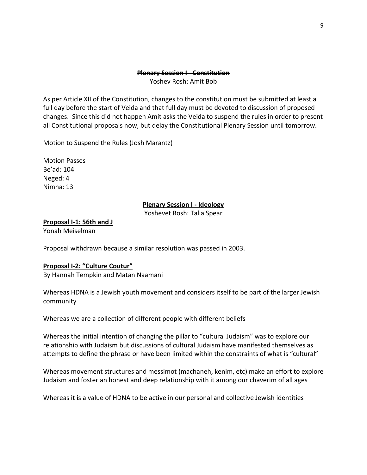### **Plenary Session I - Constitution**

Yoshev Rosh: Amit Bob

As per Article XII of the Constitution, changes to the constitution must be submitted at least a full day before the start of Veida and that full day must be devoted to discussion of proposed changes. Since this did not happen Amit asks the Veida to suspend the rules in order to present all Constitutional proposals now, but delay the Constitutional Plenary Session until tomorrow.

Motion to Suspend the Rules (Josh Marantz)

Motion Passes Be'ad: 104 Neged: 4 Nimna: 13

### **Plenary Session I - Ideology**

Yoshevet Rosh: Talia Spear

<span id="page-8-1"></span><span id="page-8-0"></span>**Proposal I-1: 56th and J**

Yonah Meiselman

Proposal withdrawn because a similar resolution was passed in 2003.

# <span id="page-8-2"></span>**Proposal I-2: "Culture Coutur"**

By Hannah Tempkin and Matan Naamani

Whereas HDNA is a Jewish youth movement and considers itself to be part of the larger Jewish community

Whereas we are a collection of different people with different beliefs

Whereas the initial intention of changing the pillar to "cultural Judaism" was to explore our relationship with Judaism but discussions of cultural Judaism have manifested themselves as attempts to define the phrase or have been limited within the constraints of what is "cultural"

Whereas movement structures and messimot (machaneh, kenim, etc) make an effort to explore Judaism and foster an honest and deep relationship with it among our chaverim of all ages

Whereas it is a value of HDNA to be active in our personal and collective Jewish identities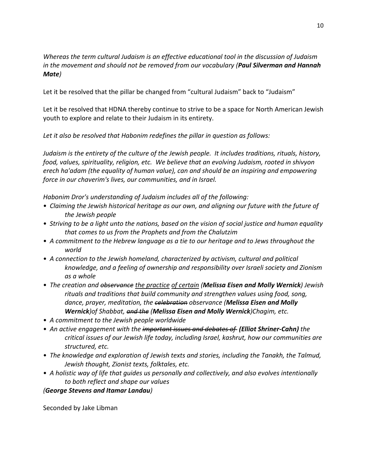*Whereas the term cultural Judaism is an effective educational tool in the discussion of Judaism in the movement and should not be removed from our vocabulary (Paul Silverman and Hannah Mate)*

Let it be resolved that the pillar be changed from "cultural Judaism" back to "Judaism"

Let it be resolved that HDNA thereby continue to strive to be a space for North American Jewish youth to explore and relate to their Judaism in its entirety.

*Let it also be resolved that Habonim redefines the pillar in question as follows:*

*Judaism is the entirety of the culture of the Jewish people. It includes traditions, rituals, history, food, values, spirituality, religion, etc. We believe that an evolving Judaism, rooted in shivyon erech ha'adam (the equality of human value), can and should be an inspiring and empowering force in our chaverim's lives, our communities, and in Israel.*

*Habonim Dror's understanding of Judaism includes all of the following:*

- *Claiming the Jewish historical heritage as our own, and aligning our future with the future of the Jewish people*
- *Striving to be a light unto the nations, based on the vision of social justice and human equality that comes to us from the Prophets and from the Chalutzim*
- *A commitment to the Hebrew language as a tie to our heritage and to Jews throughout the world*
- *A connection to the Jewish homeland, characterized by activism, cultural and political knowledge, and a feeling of ownership and responsibility over Israeli society and Zionism as a whole*
- *The creation and observance the practice of certain (Melissa Eisen and Molly Wernick) Jewish rituals and traditions that build community and strengthen values using food, song, dance, prayer, meditation, the celebration observance (Melissa Eisen and Molly Wernick)of Shabbat, and the (Melissa Eisen and Molly Wernick)Chagim, etc.*
- *A commitment to the Jewish people worldwide*
- An active engagement with the important issues and debates of (Elliot Shriner-Cahn) the *critical issues of our Jewish life today, including Israel, kashrut, how our communities are structured, etc.*
- *The knowledge and exploration of Jewish texts and stories, including the Tanakh, the Talmud, Jewish thought, Zionist texts, folktales, etc.*
- *A holistic way of life that guides us personally and collectively, and also evolves intentionally to both reflect and shape our values*

# *(George Stevens and Itamar Landau)*

Seconded by Jake Libman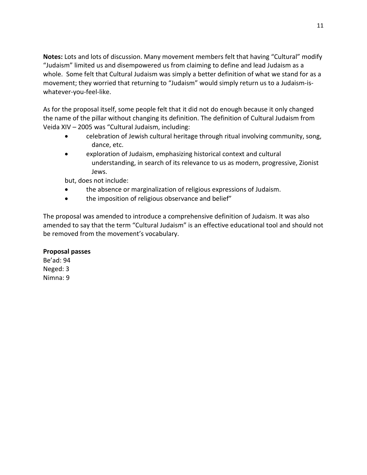**Notes:** Lots and lots of discussion. Many movement members felt that having "Cultural" modify "Judaism" limited us and disempowered us from claiming to define and lead Judaism as a whole. Some felt that Cultural Judaism was simply a better definition of what we stand for as a movement; they worried that returning to "Judaism" would simply return us to a Judaism-iswhatever-you-feel-like.

As for the proposal itself, some people felt that it did not do enough because it only changed the name of the pillar without changing its definition. The definition of Cultural Judaism from Veida XIV – 2005 was "Cultural Judaism, including:

- celebration of Jewish cultural heritage through ritual involving community, song, dance, etc.
- exploration of Judaism, emphasizing historical context and cultural understanding, in search of its relevance to us as modern, progressive, Zionist Jews.

but, does not include:

- the absence or marginalization of religious expressions of Judaism.
- the imposition of religious observance and belief"

The proposal was amended to introduce a comprehensive definition of Judaism. It was also amended to say that the term "Cultural Judaism" is an effective educational tool and should not be removed from the movement's vocabulary.

# **Proposal passes**

Be'ad: 94 Neged: 3 Nimna: 9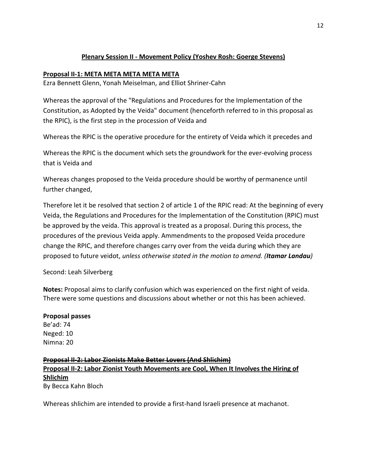# **Plenary Session II - Movement Policy (Yoshev Rosh: Goerge Stevens)**

# <span id="page-11-1"></span><span id="page-11-0"></span>**Proposal II-1: META META META META META**

Ezra Bennett Glenn, Yonah Meiselman, and Elliot Shriner-Cahn

Whereas the approval of the "Regulations and Procedures for the Implementation of the Constitution, as Adopted by the Veida" document (henceforth referred to in this proposal as the RPIC), is the first step in the procession of Veida and

Whereas the RPIC is the operative procedure for the entirety of Veida which it precedes and

Whereas the RPIC is the document which sets the groundwork for the ever-evolving process that is Veida and

Whereas changes proposed to the Veida procedure should be worthy of permanence until further changed,

Therefore let it be resolved that section 2 of article 1 of the RPIC read: At the beginning of every Veida, the Regulations and Procedures for the Implementation of the Constitution (RPIC) must be approved by the veida. This approval is treated as a proposal. During this process, the procedures of the previous Veida apply. Ammendments to the proposed Veida procedure change the RPIC, and therefore changes carry over from the veida during which they are proposed to future veidot, *unless otherwise stated in the motion to amend. (Itamar Landau)*

Second: Leah Silverberg

**Notes:** Proposal aims to clarify confusion which was experienced on the first night of veida. There were some questions and discussions about whether or not this has been achieved.

# **Proposal passes**

Be'ad: 74 Neged: 10 Nimna: 20

# <span id="page-11-2"></span>**Proposal II-2: Labor Zionists Make Better Lovers (And Shlichim) Proposal II-2: Labor Zionist Youth Movements are Cool, When It Involves the Hiring of Shlichim** By Becca Kahn Bloch

Whereas shlichim are intended to provide a first-hand Israeli presence at machanot.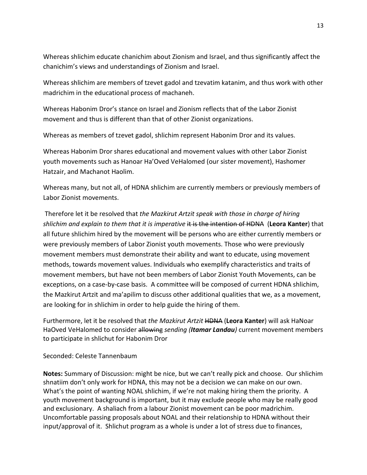Whereas shlichim educate chanichim about Zionism and Israel, and thus significantly affect the chanichim's views and understandings of Zionism and Israel.

Whereas shlichim are members of tzevet gadol and tzevatim katanim, and thus work with other madrichim in the educational process of machaneh.

Whereas Habonim Dror's stance on Israel and Zionism reflects that of the Labor Zionist movement and thus is different than that of other Zionist organizations.

Whereas as members of tzevet gadol, shlichim represent Habonim Dror and its values.

Whereas Habonim Dror shares educational and movement values with other Labor Zionist youth movements such as Hanoar Ha'Oved VeHalomed (our sister movement), Hashomer Hatzair, and Machanot Haolim.

Whereas many, but not all, of HDNA shlichim are currently members or previously members of Labor Zionist movements.

Therefore let it be resolved that *the Mazkirut Artzit speak with those in charge of hiring shlichim and explain to them that it is imperative* it is the intention of HDNA (Leora Kanter) that all future shlichim hired by the movement will be persons who are either currently members or were previously members of Labor Zionist youth movements. Those who were previously movement members must demonstrate their ability and want to educate, using movement methods, towards movement values. Individuals who exemplify characteristics and traits of movement members, but have not been members of Labor Zionist Youth Movements, can be exceptions, on a case-by-case basis. A committee will be composed of current HDNA shlichim, the Mazkirut Artzit and ma'apilim to discuss other additional qualities that we, as a movement, are looking for in shlichim in order to help guide the hiring of them.

Furthermore, let it be resolved that *the Mazkirut Artzit* HDNA (**Leora Kanter**) will ask HaNoar HaOved VeHalomed to consider allowing *sending (Itamar Landau)* current movement members to participate in shlichut for Habonim Dror

# Seconded: Celeste Tannenbaum

**Notes:** Summary of Discussion: might be nice, but we can't really pick and choose. Our shlichim shnatiim don't only work for HDNA, this may not be a decision we can make on our own. What's the point of wanting NOAL shlichim, if we're not making hiring them the priority. A youth movement background is important, but it may exclude people who may be really good and exclusionary. A shaliach from a labour Zionist movement can be poor madrichim. Uncomfortable passing proposals about NOAL and their relationship to HDNA without their input/approval of it. Shlichut program as a whole is under a lot of stress due to finances,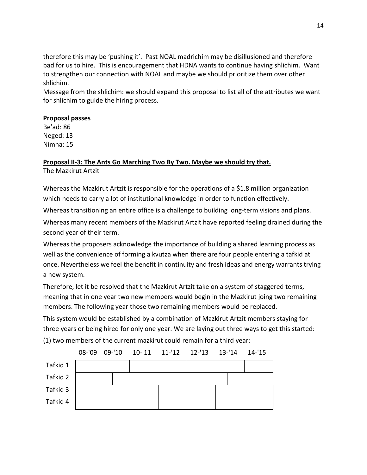therefore this may be 'pushing it'. Past NOAL madrichim may be disillusioned and therefore bad for us to hire. This is encouragement that HDNA wants to continue having shlichim. Want to strengthen our connection with NOAL and maybe we should prioritize them over other shlichim.

Message from the shlichim: we should expand this proposal to list all of the attributes we want for shlichim to guide the hiring process.

# **Proposal passes**

Be'ad: 86 Neged: 13 Nimna: 15

# <span id="page-13-0"></span>**Proposal II-3: The Ants Go Marching Two By Two. Maybe we should try that.** The Mazkirut Artzit

Whereas the Mazkirut Artzit is responsible for the operations of a \$1.8 million organization which needs to carry a lot of institutional knowledge in order to function effectively.

Whereas transitioning an entire office is a challenge to building long-term visions and plans.

Whereas many recent members of the Mazkirut Artzit have reported feeling drained during the second year of their term.

Whereas the proposers acknowledge the importance of building a shared learning process as well as the convenience of forming a kvutza when there are four people entering a tafkid at once. Nevertheless we feel the benefit in continuity and fresh ideas and energy warrants trying a new system.

Therefore, let it be resolved that the Mazkirut Artzit take on a system of staggered terms, meaning that in one year two new members would begin in the Mazkirut joing two remaining members. The following year those two remaining members would be replaced.

This system would be established by a combination of Mazkirut Artzit members staying for three years or being hired for only one year. We are laying out three ways to get this started:

(1) two members of the current mazkirut could remain for a third year:

|          |  |  | 08-'09 09-'10 10-'11 11-'12 12-'13 13-'14 14-'15 |  |
|----------|--|--|--------------------------------------------------|--|
| Tafkid 1 |  |  |                                                  |  |
| Tafkid 2 |  |  |                                                  |  |
| Tafkid 3 |  |  |                                                  |  |
| Tafkid 4 |  |  |                                                  |  |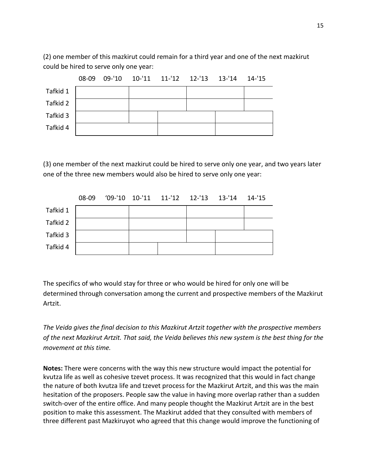(2) one member of this mazkirut could remain for a third year and one of the next mazkirut could be hired to serve only one year:



(3) one member of the next mazkirut could be hired to serve only one year, and two years later one of the three new members would also be hired to serve only one year:

|          | $08 - 09$ |  | $'09$ -'10 10-'11 11-'12 12-'13 13-'14 14-'15 |  |  |
|----------|-----------|--|-----------------------------------------------|--|--|
| Tafkid 1 |           |  |                                               |  |  |
| Tafkid 2 |           |  |                                               |  |  |
| Tafkid 3 |           |  |                                               |  |  |
| Tafkid 4 |           |  |                                               |  |  |

The specifics of who would stay for three or who would be hired for only one will be determined through conversation among the current and prospective members of the Mazkirut Artzit.

*The Veida gives the final decision to this Mazkirut Artzit together with the prospective members of the next Mazkirut Artzit. That said, the Veida believes this new system is the best thing for the movement at this time.*

**Notes:** There were concerns with the way this new structure would impact the potential for kvutza life as well as cohesive tzevet process. It was recognized that this would in fact change the nature of both kvutza life and tzevet process for the Mazkirut Artzit, and this was the main hesitation of the proposers. People saw the value in having more overlap rather than a sudden switch-over of the entire office. And many people thought the Mazkirut Artzit are in the best position to make this assessment. The Mazkirut added that they consulted with members of three different past Mazkiruyot who agreed that this change would improve the functioning of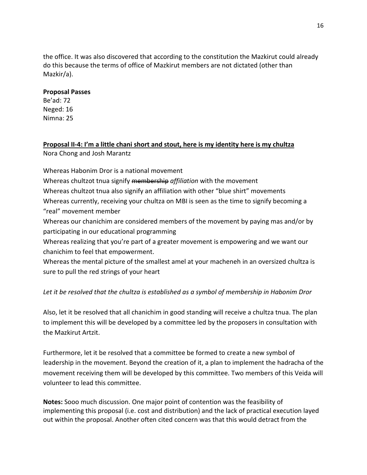the office. It was also discovered that according to the constitution the Mazkirut could already do this because the terms of office of Mazkirut members are not dictated (other than Mazkir/a).

# **Proposal Passes**

Be'ad: 72 Neged: 16 Nimna: 25

<span id="page-15-0"></span>**Proposal II-4: I'm a little chani short and stout, here is my identity here is my chultza** Nora Chong and Josh Marantz

Whereas Habonim Dror is a national movement

Whereas chultzot tnua signify membership *affiliation* with the movement Whereas chultzot tnua also signify an affiliation with other "blue shirt" movements Whereas currently, receiving your chultza on MBI is seen as the time to signify becoming a "real" movement member

Whereas our chanichim are considered members of the movement by paying mas and/or by participating in our educational programming

Whereas realizing that you're part of a greater movement is empowering and we want our chanichim to feel that empowerment.

Whereas the mental picture of the smallest amel at your macheneh in an oversized chultza is sure to pull the red strings of your heart

*Let it be resolved that the chultza is established as a symbol of membership in Habonim Dror*

Also, let it be resolved that all chanichim in good standing will receive a chultza tnua. The plan to implement this will be developed by a committee led by the proposers in consultation with the Mazkirut Artzit.

Furthermore, let it be resolved that a committee be formed to create a new symbol of leadership in the movement. Beyond the creation of it, a plan to implement the hadracha of the movement receiving them will be developed by this committee. Two members of this Veida will volunteer to lead this committee.

**Notes:** Sooo much discussion. One major point of contention was the feasibility of implementing this proposal (i.e. cost and distribution) and the lack of practical execution layed out within the proposal. Another often cited concern was that this would detract from the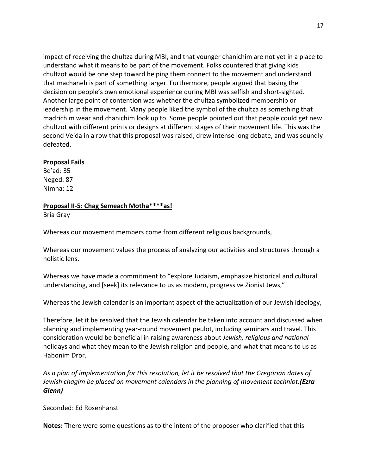impact of receiving the chultza during MBI, and that younger chanichim are not yet in a place to understand what it means to be part of the movement. Folks countered that giving kids chultzot would be one step toward helping them connect to the movement and understand that machaneh is part of something larger. Furthermore, people argued that basing the decision on people's own emotional experience during MBI was selfish and short-sighted. Another large point of contention was whether the chultza symbolized membership or leadership in the movement. Many people liked the symbol of the chultza as something that madrichim wear and chanichim look up to. Some people pointed out that people could get new chultzot with different prints or designs at different stages of their movement life. This was the second Veida in a row that this proposal was raised, drew intense long debate, and was soundly defeated.

### **Proposal Fails**

Be'ad: 35 Neged: 87 Nimna: 12

### <span id="page-16-0"></span>**Proposal II-5: Chag Semeach Motha\*\*\*\*as!**

Bria Gray

Whereas our movement members come from different religious backgrounds,

Whereas our movement values the process of analyzing our activities and structures through a holistic lens.

Whereas we have made a commitment to "explore Judaism, emphasize historical and cultural understanding, and [seek] its relevance to us as modern, progressive Zionist Jews,"

Whereas the Jewish calendar is an important aspect of the actualization of our Jewish ideology,

Therefore, let it be resolved that the Jewish calendar be taken into account and discussed when planning and implementing year-round movement peulot, including seminars and travel. This consideration would be beneficial in raising awareness about *Jewish, religious and national* holidays and what they mean to the Jewish religion and people, and what that means to us as Habonim Dror.

*As a plan of implementation for this resolution, let it be resolved that the Gregorian dates of Jewish chagim be placed on movement calendars in the planning of movement tochniot.(Ezra Glenn)*

Seconded: Ed Rosenhanst

**Notes:** There were some questions as to the intent of the proposer who clarified that this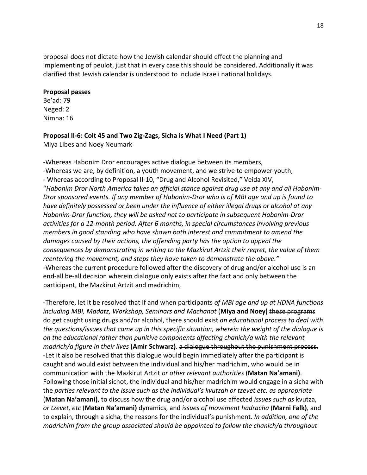proposal does not dictate how the Jewish calendar should effect the planning and implementing of peulot, just that in every case this should be considered. Additionally it was clarified that Jewish calendar is understood to include Israeli national holidays.

### **Proposal passes**

Be'ad: 79 Neged: 2 Nimna: 16

# <span id="page-17-0"></span>**Proposal II-6: Colt 45 and Two Zig-Zags, Sicha is What I Need (Part 1)**

Miya Libes and Noey Neumark

-Whereas Habonim Dror encourages active dialogue between its members, -Whereas we are, by definition, a youth movement, and we strive to empower youth, - Whereas according to Proposal II-10, "Drug and Alcohol Revisited," Veida XIV, "*Habonim Dror North America takes an official stance against drug use at any and all Habonim-Dror sponsored events. If any member of Habonim-Dror who is of MBI age and up is found to have definitely possessed or been under the influence of either illegal drugs or alcohol at any Habonim-Dror function, they will be asked not to participate in subsequent Habonim-Dror activities for a 12-month period. After 6 months, in special circumstances involving previous members in good standing who have shown both interest and commitment to amend the damages caused by their actions, the offending party has the option to appeal the consequences by demonstrating in writing to the Mazkirut Artzit their regret, the value of them reentering the movement, and steps they have taken to demonstrate the above."*  -Whereas the current procedure followed after the discovery of drug and/or alcohol use is an end-all be-all decision wherein dialogue only exists after the fact and only between the participant, the Mazkirut Artzit and madrichim,

-Therefore, let it be resolved that if and when participants *of MBI age and up at HDNA functions including MBI, Madatz, Workshop, Seminars and Machanot* (**Miya and Noey)** these programs do get caught using drugs and/or alcohol, there should exist *an educational process to deal with the questions/issues that came up in this specific situation, wherein the weight of the dialogue is on the educational rather than punitive components affecting chanich/a with the relevant madrich/a figure in their lives* **(Amir Schwarz)***.* a dialogue throughout the punishment process. -Let it also be resolved that this dialogue would begin immediately after the participant is caught and would exist between the individual and his/her madrichim, who would be in communication with the Mazkirut Artzit *or other relevant authorities* (**Matan Na'amani)**. Following those initial sichot, the individual and his/her madrichim would engage in a sicha with the *parties relevant to the issue such as the individual's kvutzah or tzevet etc. as appropriate*  (**Matan Na'amani)**, to discuss how the drug and/or alcohol use affected *issues such as* kvutza, *or tzevet, etc* (**Matan Na'amani)** dynamics, and *issues of movement hadracha* (**Marni Falk)***,* and to explain, through a sicha, the reasons for the individual's punishment. *In addition, one of the madrichim from the group associated should be appointed to follow the chanich/a throughout*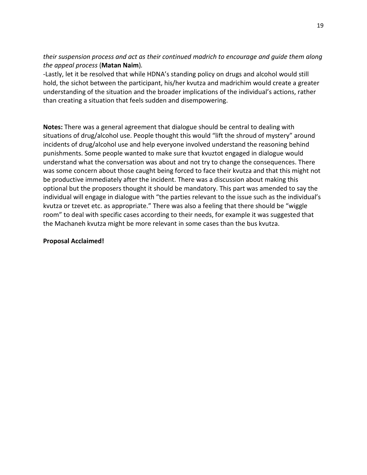*their suspension process and act as their continued madrich to encourage and guide them along the appeal process* (**Matan Naim**)*.* 

-Lastly, let it be resolved that while HDNA's standing policy on drugs and alcohol would still hold, the sichot between the participant, his/her kvutza and madrichim would create a greater understanding of the situation and the broader implications of the individual's actions, rather than creating a situation that feels sudden and disempowering.

**Notes:** There was a general agreement that dialogue should be central to dealing with situations of drug/alcohol use. People thought this would "lift the shroud of mystery" around incidents of drug/alcohol use and help everyone involved understand the reasoning behind punishments. Some people wanted to make sure that kvuztot engaged in dialogue would understand what the conversation was about and not try to change the consequences. There was some concern about those caught being forced to face their kvutza and that this might not be productive immediately after the incident. There was a discussion about making this optional but the proposers thought it should be mandatory. This part was amended to say the individual will engage in dialogue with "the parties relevant to the issue such as the individual's kvutza or tzevet etc. as appropriate." There was also a feeling that there should be "wiggle room" to deal with specific cases according to their needs, for example it was suggested that the Machaneh kvutza might be more relevant in some cases than the bus kvutza.

# **Proposal Acclaimed!**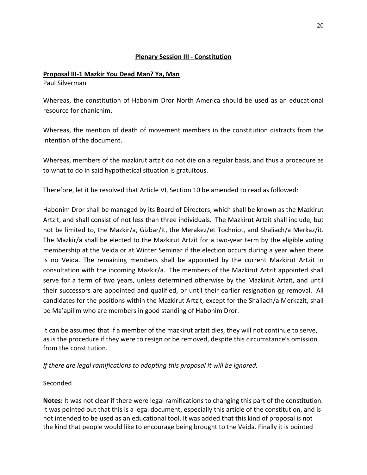# **Plenary Session III - Constitution**

# <span id="page-19-1"></span><span id="page-19-0"></span>**Proposal III-1 Mazkir You Dead Man? Ya, Man**

Paul Silverman

Whereas, the constitution of Habonim Dror North America should be used as an educational resource for chanichim.

Whereas, the mention of death of movement members in the constitution distracts from the intention of the document.

Whereas, members of the mazkirut artzit do not die on a regular basis, and thus a procedure as to what to do in said hypothetical situation is gratuitous.

Therefore, let it be resolved that Article VI, Section 10 be amended to read as followed:

Habonim Dror shall be managed by its Board of Directors, which shall be known as the Mazkirut Artzit, and shall consist of not less than three individuals. The Mazkirut Artzit shall include, but not be limited to, the Mazkir/a, Gizbar/it, the Merakez/et Tochniot, and Shaliach/a Merkaz/it. The Mazkir/a shall be elected to the Mazkirut Artzit for a two-year term by the eligible voting membership at the Veida or at Winter Seminar if the election occurs during a year when there is no Veida. The remaining members shall be appointed by the current Mazkirut Artzit in consultation with the incoming Mazkir/a. The members of the Mazkirut Artzit appointed shall serve for a term of two years, unless determined otherwise by the Mazkirut Artzit, and until their successors are appointed and qualified, or until their earlier resignation or removal. All candidates for the positions within the Mazkirut Artzit, except for the Shaliach/a Merkazit, shall be Ma'apilim who are members in good standing of Habonim Dror.

It can be assumed that if a member of the mazkirut artzit dies, they will not continue to serve, as is the procedure if they were to resign or be removed, despite this circumstance's omission from the constitution.

*If there are legal ramifications to adopting this proposal it will be ignored.*

# Seconded

**Notes:** It was not clear if there were legal ramifications to changing this part of the constitution. It was pointed out that this is a legal document, especially this article of the constitution, and is not intended to be used as an educational tool. It was added that this kind of proposal is not the kind that people would like to encourage being brought to the Veida. Finally it is pointed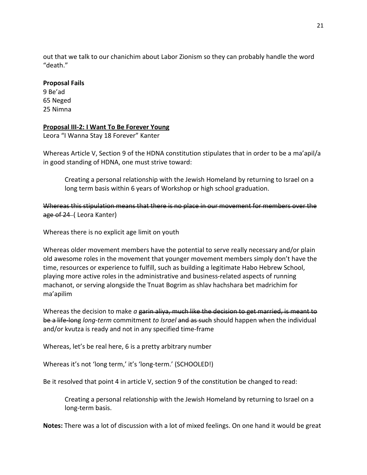out that we talk to our chanichim about Labor Zionism so they can probably handle the word "death."

### **Proposal Fails**

9 Be'ad 65 Neged 25 Nimna

# <span id="page-20-0"></span>**Proposal III-2: I Want To Be Forever Young**

Leora "I Wanna Stay 18 Forever" Kanter

Whereas Article V, Section 9 of the HDNA constitution stipulates that in order to be a ma'apil/a in good standing of HDNA, one must strive toward:

Creating a personal relationship with the Jewish Homeland by returning to Israel on a long term basis within 6 years of Workshop or high school graduation.

Whereas this stipulation means that there is no place in our movement for members over the age of 24–(Leora Kanter)

Whereas there is no explicit age limit on youth

Whereas older movement members have the potential to serve really necessary and/or plain old awesome roles in the movement that younger movement members simply don't have the time, resources or experience to fulfill, such as building a legitimate Habo Hebrew School, playing more active roles in the administrative and business-related aspects of running machanot, or serving alongside the Tnuat Bogrim as shlav hachshara bet madrichim for ma'apilim

Whereas the decision to make *a* garin aliva, much like the decision to get married, is meant to be a life-long *long-term* commitment *to Israel* and as such should happen when the individual and/or kvutza is ready and not in any specified time-frame

Whereas, let's be real here, 6 is a pretty arbitrary number

Whereas it's not 'long term,' it's 'long-term.' (SCHOOLED!)

Be it resolved that point 4 in article V, section 9 of the constitution be changed to read:

Creating a personal relationship with the Jewish Homeland by returning to Israel on a long-term basis.

**Notes:** There was a lot of discussion with a lot of mixed feelings. On one hand it would be great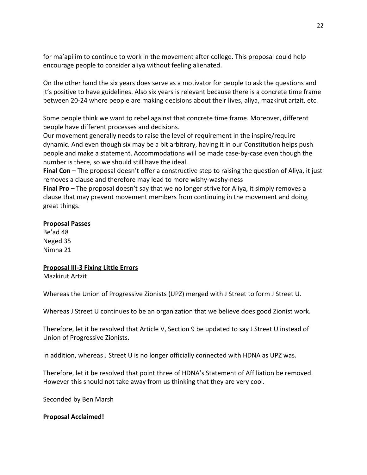for ma'apilim to continue to work in the movement after college. This proposal could help encourage people to consider aliya without feeling alienated.

On the other hand the six years does serve as a motivator for people to ask the questions and it's positive to have guidelines. Also six years is relevant because there is a concrete time frame between 20-24 where people are making decisions about their lives, aliya, mazkirut artzit, etc.

Some people think we want to rebel against that concrete time frame. Moreover, different people have different processes and decisions.

Our movement generally needs to raise the level of requirement in the inspire/require dynamic. And even though six may be a bit arbitrary, having it in our Constitution helps push people and make a statement. Accommodations will be made case-by-case even though the number is there, so we should still have the ideal.

**Final Con –** The proposal doesn't offer a constructive step to raising the question of Aliya, it just removes a clause and therefore may lead to more wishy-washy-ness

**Final Pro –** The proposal doesn't say that we no longer strive for Aliya, it simply removes a clause that may prevent movement members from continuing in the movement and doing great things.

### **Proposal Passes**

Be'ad 48 Neged 35 Nimna 21

# <span id="page-21-0"></span>**Proposal III-3 Fixing Little Errors**

Mazkirut Artzit

Whereas the Union of Progressive Zionists (UPZ) merged with J Street to form J Street U.

Whereas J Street U continues to be an organization that we believe does good Zionist work.

Therefore, let it be resolved that Article V, Section 9 be updated to say J Street U instead of Union of Progressive Zionists.

In addition, whereas J Street U is no longer officially connected with HDNA as UPZ was.

Therefore, let it be resolved that point three of HDNA's Statement of Affiliation be removed. However this should not take away from us thinking that they are very cool.

Seconded by Ben Marsh

**Proposal Acclaimed!**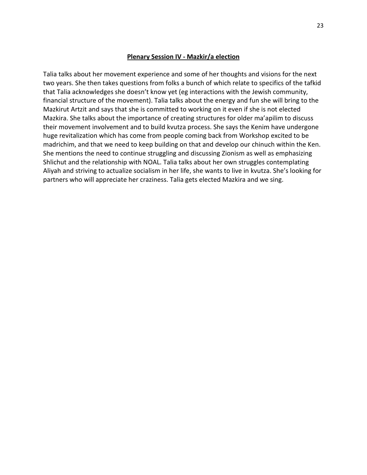#### **Plenary Session IV - Mazkir/a election**

<span id="page-22-0"></span>Talia talks about her movement experience and some of her thoughts and visions for the next two years. She then takes questions from folks a bunch of which relate to specifics of the tafkid that Talia acknowledges she doesn't know yet (eg interactions with the Jewish community, financial structure of the movement). Talia talks about the energy and fun she will bring to the Mazkirut Artzit and says that she is committed to working on it even if she is not elected Mazkira. She talks about the importance of creating structures for older ma'apilim to discuss their movement involvement and to build kvutza process. She says the Kenim have undergone huge revitalization which has come from people coming back from Workshop excited to be madrichim, and that we need to keep building on that and develop our chinuch within the Ken. She mentions the need to continue struggling and discussing Zionism as well as emphasizing Shlichut and the relationship with NOAL. Talia talks about her own struggles contemplating Aliyah and striving to actualize socialism in her life, she wants to live in kvutza. She's looking for partners who will appreciate her craziness. Talia gets elected Mazkira and we sing.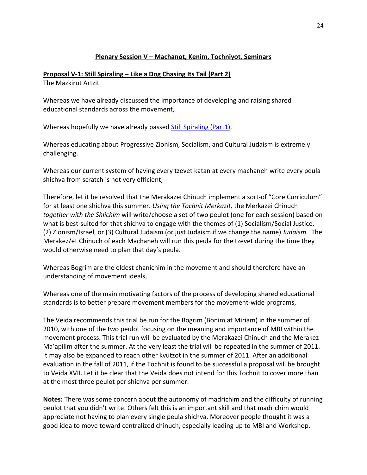# **Plenary Session V – Machanot, Kenim, Tochniyot, Seminars**

# <span id="page-23-1"></span><span id="page-23-0"></span>**Proposal V-1: Still Spiraling – Like a Dog Chasing Its Tail (Part 2)**

The Mazkirut Artzit

Whereas we have already discussed the importance of developing and raising shared educational standards across the movement,

Whereas hopefully we have already passed [Still Spiraling \(Part1\),](#page-33-1)

Whereas educating about Progressive Zionism, Socialism, and Cultural Judaism is extremely challenging.

Whereas our current system of having every tzevet katan at every machaneh write every peula shichva from scratch is not very efficient,

Therefore, let it be resolved that the Merakazei Chinuch implement a sort-of "Core Curriculum" for at least one shichva this summer. *Using the Tochnit Merkazit,* the Merkazei Chinuch *together with the Shlichim* will write/choose a set of two peulot (one for each session) based on what is best-suited for that shichva to engage with the themes of (1) Socialism/Social Justice, (2) Zionism/Israel, or (3) Cultural Judaism (or just Judaism if we change the name) *Judaism*. The Merakez/et Chinuch of each Machaneh will run this peula for the tzevet during the time they would otherwise need to plan that day's peula.

Whereas Bogrim are the eldest chanichim in the movement and should therefore have an understanding of movement ideals,

Whereas one of the main motivating factors of the process of developing shared educational standards is to better prepare movement members for the movement-wide programs,

The Veida recommends this trial be run for the Bogrim (Bonim at Miriam) in the summer of 2010, with one of the two peulot focusing on the meaning and importance of MBI within the movement process. This trial run will be evaluated by the Merakazei Chinuch and the Merakez Ma'apilim after the summer. At the very least the trial will be repeated in the summer of 2011. It may also be expanded to reach other kvutzot in the summer of 2011. After an additional evaluation in the fall of 2011, if the Tochnit is found to be successful a proposal will be brought to Veida XVII. Let it be clear that the Veida does not intend for this Tochnit to cover more than at the most three peulot per shichva per summer.

**Notes:** There was some concern about the autonomy of madrichim and the difficulty of running peulot that you didn't write. Others felt this is an important skill and that madrichim would appreciate not having to plan every single peula shichva. Moreover people thought it was a good idea to move toward centralized chinuch, especially leading up to MBI and Workshop.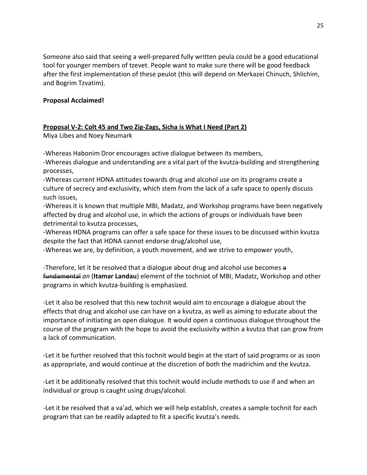Someone also said that seeing a well-prepared fully written peula could be a good educational tool for younger members of tzevet. People want to make sure there will be good feedback after the first implementation of these peulot (this will depend on Merkazei Chinuch, Shlichim, and Bogrim Tzvatim).

# **Proposal Acclaimed!**

# <span id="page-24-0"></span>**Proposal V-2: Colt 45 and Two Zig-Zags, Sicha is What I Need (Part 2)**

Miya Libes and Noey Neumark

-Whereas Habonim Dror encourages active dialogue between its members,

-Whereas dialogue and understanding are a vital part of the kvutza-building and strengthening processes,

-Whereas current HDNA attitudes towards drug and alcohol use on its programs create a culture of secrecy and exclusivity, which stem from the lack of a safe space to openly discuss such issues,

-Whereas it is known that multiple MBI, Madatz, and Workshop programs have been negatively affected by drug and alcohol use, in which the actions of groups or individuals have been detrimental to kvutza processes,

-Whereas HDNA programs can offer a safe space for these issues to be discussed within kvutza despite the fact that HDNA cannot endorse drug/alcohol use,

-Whereas we are, by definition, a youth movement, and we strive to empower youth,

-Therefore, let it be resolved that a dialogue about drug and alcohol use becomes a fundamental *an* (**Itamar Landau**) element of the tochniot of MBI, Madatz, Workshop and other programs in which kvutza-building is emphasized.

-Let it also be resolved that this new tochnit would aim to encourage a dialogue about the effects that drug and alcohol use can have on a kvutza, as well as aiming to educate about the importance of initiating an open dialogue. It would open a continuous dialogue throughout the course of the program with the hope to avoid the exclusivity within a kvutza that can grow from a lack of communication.

-Let it be further resolved that this tochnit would begin at the start of said programs or as soon as appropriate, and would continue at the discretion of both the madrichim and the kvutza.

-Let it be additionally resolved that this tochnit would include methods to use if and when an individual or group is caught using drugs/alcohol.

-Let it be resolved that a va'ad, which we will help establish, creates a sample tochnit for each program that can be readily adapted to fit a specific kvutza's needs.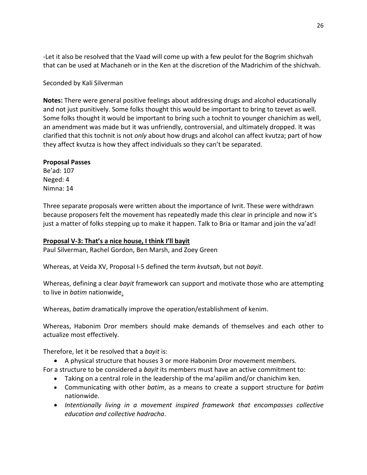-Let it also be resolved that the Vaad will come up with a few peulot for the Bogrim shichvah that can be used at Machaneh or in the Ken at the discretion of the Madrichim of the shichvah.

# Seconded by Kali Silverman

**Notes:** There were general positive feelings about addressing drugs and alcohol educationally and not just punitively. Some folks thought this would be important to bring to tzevet as well. Some folks thought it would be important to bring such a tochnit to younger chanichim as well, an amendment was made but it was unfriendly, controversial, and ultimately dropped. It was clarified that this tochnit is not *only* about how drugs and alcohol can affect kvutza; part of how they affect kvutza is how they affect individuals so they can't be separated.

# **Proposal Passes**

Be'ad: 107 Neged: 4 Nimna: 14

Three separate proposals were written about the importance of Ivrit. These were withdrawn because proposers felt the movement has repeatedly made this clear in principle and now it's just a matter of folks stepping up to make it happen. Talk to Bria or Itamar and join the va'ad!

# <span id="page-25-0"></span>**Proposal V-3: That's a nice house, I think I'll bayit**

Paul Silverman, Rachel Gordon, Ben Marsh, and Zoey Green

Whereas, at Veida XV, Proposal I-5 defined the term *kvutsah*, but not *bayit*.

Whereas, defining a clear *bayit* framework can support and motivate those who are attempting to live in *batim* nationwide.

Whereas, *batim* dramatically improve the operation/establishment of kenim.

Whereas, Habonim Dror members should make demands of themselves and each other to actualize most effectively.

Therefore, let it be resolved that a *bayit* is:

• A physical structure that houses 3 or more Habonim Dror movement members.

For a structure to be considered a *bayit* its members must have an active commitment to:

- Taking on a central role in the leadership of the ma'apilim and/or chanichim ken.
- Communicating with other *batim*, as a means to create a support structure for *batim* nationwide.
- *Intentionally living in a movement inspired framework that encompasses collective education and collective hadracha*.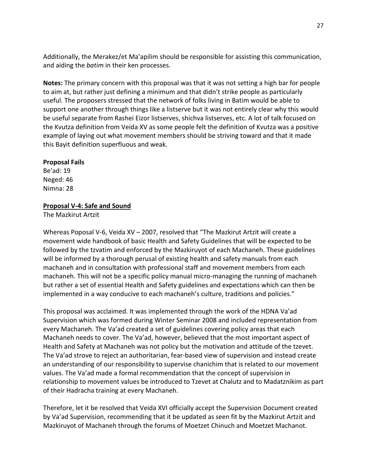Additionally, the Merakez/et Ma'apilim should be responsible for assisting this communication, and aiding the *batim* in their ken processes.

**Notes:** The primary concern with this proposal was that it was not setting a high bar for people to aim at, but rather just defining a minimum and that didn't strike people as particularly useful. The proposers stressed that the network of folks living in Batim would be able to support one another through things like a listserve but it was not entirely clear why this would be useful separate from Rashei Eizor listserves, shichva listserves, etc. A lot of talk focused on the Kvutza definition from Veida XV as some people felt the definition of Kvutza was a positive example of laying out what movement members should be striving toward and that it made this Bayit definition superfluous and weak.

### **Proposal Fails**

Be'ad: 19 Neged: 46 Nimna: 28

### <span id="page-26-0"></span>**Proposal V-4: Safe and Sound**

The Mazkirut Artzit

Whereas Poposal V-6, Veida XV – 2007, resolved that "The Mazkirut Artzit will create a movement wide handbook of basic Health and Safety Guidelines that will be expected to be followed by the tzvatim and enforced by the Mazkiruyot of each Machaneh. These guidelines will be informed by a thorough perusal of existing health and safety manuals from each machaneh and in consultation with professional staff and movement members from each machaneh. This will not be a specific policy manual micro-managing the running of machaneh but rather a set of essential Health and Safety guidelines and expectations which can then be implemented in a way conducive to each machaneh's culture, traditions and policies."

This proposal was acclaimed. It was implemented through the work of the HDNA Va'ad Supervision which was formed during Winter Seminar 2008 and included representation from every Machaneh. The Va'ad created a set of guidelines covering policy areas that each Machaneh needs to cover. The Va'ad, however, believed that the most important aspect of Health and Safety at Machaneh was not policy but the motivation and attitude of the tzevet. The Va'ad strove to reject an authoritarian, fear-based view of supervision and instead create an understanding of our responsibility to supervise chanichim that is related to our movement values. The Va'ad made a formal recommendation that the concept of supervision in relationship to movement values be introduced to Tzevet at Chalutz and to Madatznikim as part of their Hadracha training at every Machaneh.

Therefore, let it be resolved that Veida XVI officially accept the Supervision Document created by Va'ad Supervision, recommending that it be updated as seen fit by the Mazkirut Artzit and Mazkiruyot of Machaneh through the forums of Moetzet Chinuch and Moetzet Machanot.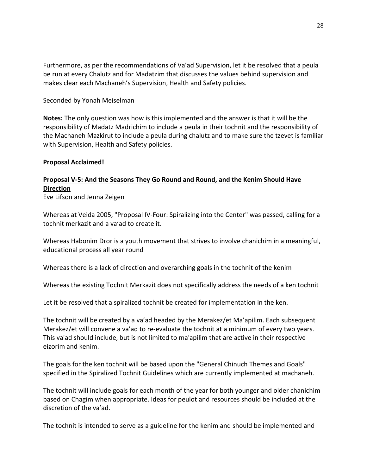Furthermore, as per the recommendations of Va'ad Supervision, let it be resolved that a peula be run at every Chalutz and for Madatzim that discusses the values behind supervision and makes clear each Machaneh's Supervision, Health and Safety policies.

### Seconded by Yonah Meiselman

**Notes:** The only question was how is this implemented and the answer is that it will be the responsibility of Madatz Madrichim to include a peula in their tochnit and the responsibility of the Machaneh Mazkirut to include a peula during chalutz and to make sure the tzevet is familiar with Supervision, Health and Safety policies.

### **Proposal Acclaimed!**

# <span id="page-27-0"></span>**Proposal V-5: And the Seasons They Go Round and Round, and the Kenim Should Have Direction**

Eve Lifson and Jenna Zeigen

Whereas at Veida 2005, "Proposal IV-Four: Spiralizing into the Center" was passed, calling for a tochnit merkazit and a va'ad to create it.

Whereas Habonim Dror is a youth movement that strives to involve chanichim in a meaningful, educational process all year round

Whereas there is a lack of direction and overarching goals in the tochnit of the kenim

Whereas the existing Tochnit Merkazit does not specifically address the needs of a ken tochnit

Let it be resolved that a spiralized tochnit be created for implementation in the ken.

The tochnit will be created by a va'ad headed by the Merakez/et Ma'apilim. Each subsequent Merakez/et will convene a va'ad to re-evaluate the tochnit at a minimum of every two years. This va'ad should include, but is not limited to ma'apilim that are active in their respective eizorim and kenim.

The goals for the ken tochnit will be based upon the "General Chinuch Themes and Goals" specified in the Spiralized Tochnit Guidelines which are currently implemented at machaneh.

The tochnit will include goals for each month of the year for both younger and older chanichim based on Chagim when appropriate. Ideas for peulot and resources should be included at the discretion of the va'ad.

The tochnit is intended to serve as a guideline for the kenim and should be implemented and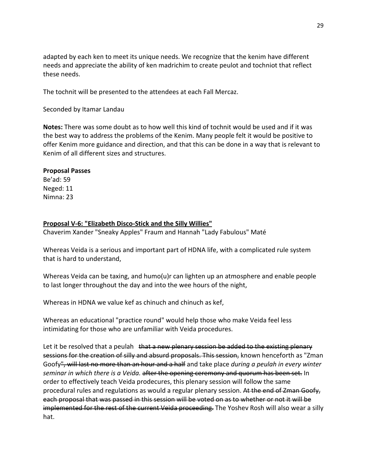adapted by each ken to meet its unique needs. We recognize that the kenim have different needs and appreciate the ability of ken madrichim to create peulot and tochniot that reflect these needs.

The tochnit will be presented to the attendees at each Fall Mercaz.

Seconded by Itamar Landau

**Notes:** There was some doubt as to how well this kind of tochnit would be used and if it was the best way to address the problems of the Kenim. Many people felt it would be positive to offer Kenim more guidance and direction, and that this can be done in a way that is relevant to Kenim of all different sizes and structures.

# **Proposal Passes**

Be'ad: 59 Neged: 11 Nimna: 23

# <span id="page-28-0"></span>**Proposal V-6: "Elizabeth Disco-Stick and the Silly Willies"**

Chaverim Xander "Sneaky Apples" Fraum and Hannah "Lady Fabulous" Maté

Whereas Veida is a serious and important part of HDNA life, with a complicated rule system that is hard to understand,

Whereas Veida can be taxing, and humo(u)r can lighten up an atmosphere and enable people to last longer throughout the day and into the wee hours of the night,

Whereas in HDNA we value kef as chinuch and chinuch as kef,

Whereas an educational "practice round" would help those who make Veida feel less intimidating for those who are unfamiliar with Veida procedures.

Let it be resolved that a peulah that a new plenary session be added to the existing plenary sessions for the creation of silly and absurd proposals. This session, known henceforth as "Zman Goofy", will last no more than an hour and a half and take place *during a peulah in every winter seminar in which there is a Veida.* after the opening ceremony and quorum has been set. In order to effectively teach Veida prodecures, this plenary session will follow the same procedural rules and regulations as would a regular plenary session. At the end of Zman Goofy, each proposal that was passed in this session will be voted on as to whether or not it will be implemented for the rest of the current Veida proceeding. The Yoshev Rosh will also wear a silly hat.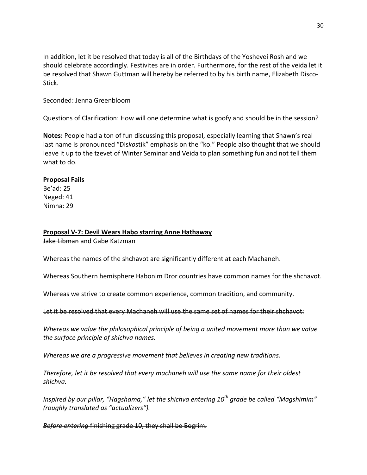In addition, let it be resolved that today is all of the Birthdays of the Yoshevei Rosh and we should celebrate accordingly. Festivites are in order. Furthermore, for the rest of the veida let it be resolved that Shawn Guttman will hereby be referred to by his birth name, Elizabeth Disco-Stick.

### Seconded: Jenna Greenbloom

Questions of Clarification: How will one determine what is goofy and should be in the session?

**Notes:** People had a ton of fun discussing this proposal, especially learning that Shawn's real last name is pronounced "Dis*ko*stik" emphasis on the "ko." People also thought that we should leave it up to the tzevet of Winter Seminar and Veida to plan something fun and not tell them what to do.

### **Proposal Fails**

Be'ad: 25 Neged: 41 Nimna: 29

### <span id="page-29-0"></span>**Proposal V-7: Devil Wears Habo starring Anne Hathaway**

Jake Libman and Gabe Katzman

Whereas the names of the shchavot are significantly different at each Machaneh.

Whereas Southern hemisphere Habonim Dror countries have common names for the shchavot.

Whereas we strive to create common experience, common tradition, and community.

### Let it be resolved that every Machaneh will use the same set of names for their shchavot:

*Whereas we value the philosophical principle of being a united movement more than we value the surface principle of shichva names.*

*Whereas we are a progressive movement that believes in creating new traditions.*

*Therefore, let it be resolved that every machaneh will use the same name for their oldest shichva.*

*Inspired by our pillar, "Hagshama," let the shichva entering 10th grade be called "Magshimim" (roughly translated as "actualizers").*

*Before entering* finishing grade 10, they shall be Bogrim.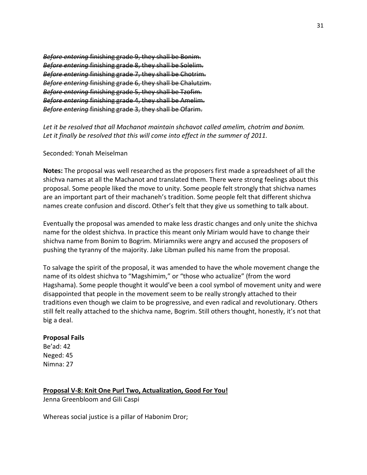*Before entering* finishing grade 9, they shall be Bonim. *Before entering* finishing grade 8, they shall be Solelim. *Before entering* finishing grade 7, they shall be Chotrim. *Before entering* finishing grade 6, they shall be Chalutzim. *Before entering* finishing grade 5, they shall be Tzofim. *Before entering* finishing grade 4, they shall be Amelim. *Before entering* finishing grade 3, they shall be Ofarim.

*Let it be resolved that all Machanot maintain shchavot called amelim, chotrim and bonim. Let it finally be resolved that this will come into effect in the summer of 2011.*

### Seconded: Yonah Meiselman

**Notes:** The proposal was well researched as the proposers first made a spreadsheet of all the shichva names at all the Machanot and translated them. There were strong feelings about this proposal. Some people liked the move to unity. Some people felt strongly that shichva names are an important part of their machaneh's tradition. Some people felt that different shichva names create confusion and discord. Other's felt that they give us something to talk about.

Eventually the proposal was amended to make less drastic changes and only unite the shichva name for the oldest shichva. In practice this meant only Miriam would have to change their shichva name from Bonim to Bogrim. Miriamniks were angry and accused the proposers of pushing the tyranny of the majority. Jake Libman pulled his name from the proposal.

To salvage the spirit of the proposal, it was amended to have the whole movement change the name of its oldest shichva to "Magshimim," or "those who actualize" (from the word Hagshama). Some people thought it would've been a cool symbol of movement unity and were disappointed that people in the movement seem to be really strongly attached to their traditions even though we claim to be progressive, and even radical and revolutionary. Others still felt really attached to the shichva name, Bogrim. Still others thought, honestly, it's not that big a deal.

### **Proposal Fails**

Be'ad: 42 Neged: 45 Nimna: 27

# <span id="page-30-0"></span>**Proposal V-8: Knit One Purl Two, Actualization, Good For You!**

Jenna Greenbloom and Gili Caspi

Whereas social justice is a pillar of Habonim Dror;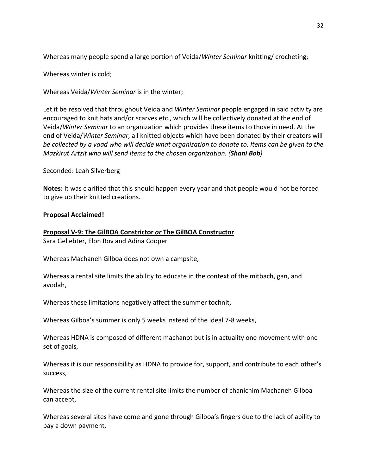Whereas many people spend a large portion of Veida/*Winter Seminar* knitting/ crocheting;

Whereas winter is cold;

Whereas Veida/*Winter Seminar* is in the winter;

Let it be resolved that throughout Veida and *Winter Seminar* people engaged in said activity are encouraged to knit hats and/or scarves etc., which will be collectively donated at the end of Veida/*Winter Seminar* to an organization which provides these items to those in need. At the end of Veida/*Winter Seminar*, all knitted objects which have been donated by their creators will *be collected by a vaad who will decide what organization to donate to. Items can be given to the Mazkirut Artzit who will send items to the chosen organization. (Shani Bob)*

Seconded: Leah Silverberg

**Notes:** It was clarified that this should happen every year and that people would not be forced to give up their knitted creations.

# **Proposal Acclaimed!**

# <span id="page-31-0"></span>**Proposal V-9: The GilBOA Constrictor** *or* **The GilBOA Constructor**

Sara Geliebter, Elon Rov and Adina Cooper

Whereas Machaneh Gilboa does not own a campsite,

Whereas a rental site limits the ability to educate in the context of the mitbach, gan, and avodah,

Whereas these limitations negatively affect the summer tochnit,

Whereas Gilboa's summer is only 5 weeks instead of the ideal 7-8 weeks,

Whereas HDNA is composed of different machanot but is in actuality one movement with one set of goals,

Whereas it is our responsibility as HDNA to provide for, support, and contribute to each other's success,

Whereas the size of the current rental site limits the number of chanichim Machaneh Gilboa can accept,

Whereas several sites have come and gone through Gilboa's fingers due to the lack of ability to pay a down payment,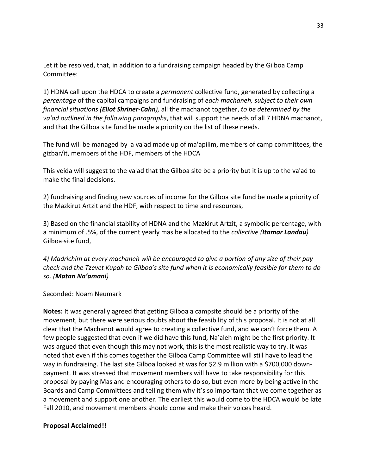Let it be resolved, that, in addition to a fundraising campaign headed by the Gilboa Camp Committee:

1) HDNA call upon the HDCA to create a *permanent* collective fund, generated by collecting a *percentage* of the capital campaigns and fundraising of *each machaneh, subject to their own financial situations (Eliot Shriner-Cahn),* all the machanot together, *to be determined by the va'ad outlined in the following paragraphs*, that will support the needs of all 7 HDNA machanot, and that the Gilboa site fund be made a priority on the list of these needs.

The fund will be managed by a va'ad made up of ma'apilim, members of camp committees, the gizbar/it, members of the HDF, members of the HDCA

This veida will suggest to the va'ad that the Gilboa site be a priority but it is up to the va'ad to make the final decisions.

2) fundraising and finding new sources of income for the Gilboa site fund be made a priority of the Mazkirut Artzit and the HDF, with respect to time and resources,

3) Based on the financial stability of HDNA and the Mazkirut Artzit, a symbolic percentage, with a minimum of .5%, of the current yearly mas be allocated to the *collective (Itamar Landau)* Gilboa site fund,

*4) Madrichim at every machaneh will be encouraged to give a portion of any size of their pay check and the Tzevet Kupah to Gilboa's site fund when it is economically feasible for them to do so. (Matan Na'amani)*

# Seconded: Noam Neumark

**Notes:** It was generally agreed that getting Gilboa a campsite should be a priority of the movement, but there were serious doubts about the feasibility of this proposal. It is not at all clear that the Machanot would agree to creating a collective fund, and we can't force them. A few people suggested that even if we did have this fund, Na'aleh might be the first priority. It was argued that even though this may not work, this is the most realistic way to try. It was noted that even if this comes together the Gilboa Camp Committee will still have to lead the way in fundraising. The last site Gilboa looked at was for \$2.9 million with a \$700,000 downpayment. It was stressed that movement members will have to take responsibility for this proposal by paying Mas and encouraging others to do so, but even more by being active in the Boards and Camp Committees and telling them why it's so important that we come together as a movement and support one another. The earliest this would come to the HDCA would be late Fall 2010, and movement members should come and make their voices heard.

# **Proposal Acclaimed!!**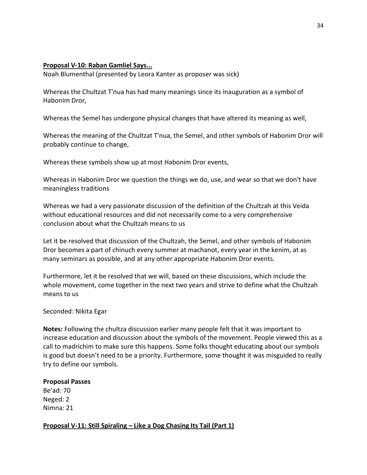# <span id="page-33-0"></span>**Proposal V-10: Raban Gamliel Says...**

Noah Blumenthal (presented by Leora Kanter as proposer was sick)

Whereas the Chultzat T'nua has had many meanings since its inauguration as a symbol of Habonim Dror,

Whereas the Semel has undergone physical changes that have altered its meaning as well,

Whereas the meaning of the Chultzat T'nua, the Semel, and other symbols of Habonim Dror will probably continue to change,

Whereas these symbols show up at most Habonim Dror events,

Whereas in Habonim Dror we question the things we do, use, and wear so that we don't have meaningless traditions

Whereas we had a very passionate discussion of the definition of the Chultzah at this Veida without educational resources and did not necessarily come to a very comprehensive conclusion about what the Chultzah means to us

Let it be resolved that discussion of the Chultzah, the Semel, and other symbols of Habonim Dror becomes a part of chinuch every summer at machanot, every year in the kenim, at as many seminars as possible, and at any other appropriate Habonim Dror events.

Furthermore, let it be resolved that we will, based on these discussions, which include the whole movement, come together in the next two years and strive to define what the Chultzah means to us

# Seconded: Nikita Egar

**Notes:** Following the chultza discussion earlier many people felt that it was important to increase education and discussion about the symbols of the movement. People viewed this as a call to madrichim to make sure this happens. Some folks thought educating about our symbols is good but doesn't need to be a priority. Furthermore, some thought it was misguided to really try to define our symbols.

### **Proposal Passes**

Be'ad: 70 Neged: 2 Nimna: 21

<span id="page-33-1"></span>**Proposal V-11: Still Spiraling – Like a Dog Chasing Its Tail (Part 1)**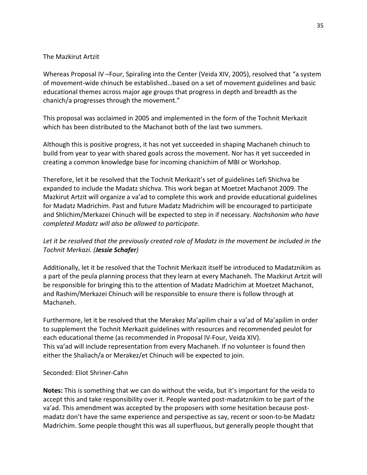# The Mazkirut Artzit

Whereas Proposal IV –Four, Spiraling into the Center (Veida XIV, 2005), resolved that "a system of movement-wide chinuch be established…based on a set of movement guidelines and basic educational themes across major age groups that progress in depth and breadth as the chanich/a progresses through the movement."

This proposal was acclaimed in 2005 and implemented in the form of the Tochnit Merkazit which has been distributed to the Machanot both of the last two summers.

Although this is positive progress, it has not yet succeeded in shaping Machaneh chinuch to build from year to year with shared goals across the movement. Nor has it yet succeeded in creating a common knowledge base for incoming chanichim of MBI or Workshop.

Therefore, let it be resolved that the Tochnit Merkazit's set of guidelines Lefi Shichva be expanded to include the Madatz shichva. This work began at Moetzet Machanot 2009. The Mazkirut Artzit will organize a va'ad to complete this work and provide educational guidelines for Madatz Madrichim. Past and future Madatz Madrichim will be encouraged to participate and Shlichim/Merkazei Chinuch will be expected to step in if necessary. *Nachshonim who have completed Madatz will also be allowed to participate.*

# Let it be resolved that the previously created role of Madatz in the movement be included in the *Tochnit Merkazi. (Jessie Schafer)*

Additionally, let it be resolved that the Tochnit Merkazit itself be introduced to Madatznikim as a part of the peula planning process that they learn at every Machaneh. The Mazkirut Artzit will be responsible for bringing this to the attention of Madatz Madrichim at Moetzet Machanot, and Rashim/Merkazei Chinuch will be responsible to ensure there is follow through at Machaneh.

Furthermore, let it be resolved that the Merakez Ma'apilim chair a va'ad of Ma'apilim in order to supplement the Tochnit Merkazit guidelines with resources and recommended peulot for each educational theme (as recommended in Proposal IV-Four, Veida XIV). This va'ad will include representation from every Machaneh. If no volunteer is found then either the Shaliach/a or Merakez/et Chinuch will be expected to join.

# Seconded: Eliot Shriner-Cahn

**Notes:** This is something that we can do without the veida, but it's important for the veida to accept this and take responsibility over it. People wanted post-madatznikim to be part of the va'ad. This amendment was accepted by the proposers with some hesitation because postmadatz don't have the same experience and perspective as say, recent or soon-to-be Madatz Madrichim. Some people thought this was all superfluous, but generally people thought that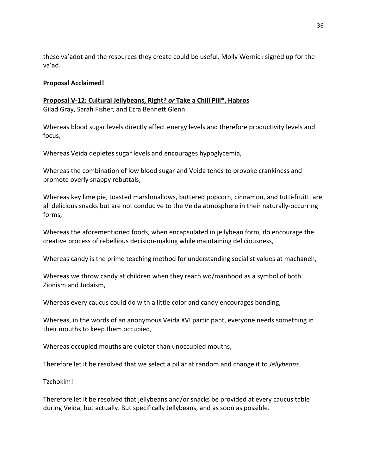these va'adot and the resources they create could be useful. Molly Wernick signed up for the va'ad.

# **Proposal Acclaimed!**

<span id="page-35-0"></span>**Proposal V-12: Cultural Jellybeans, Right?** *or* **Take a Chill Pill\*, Habros** Gilad Gray, Sarah Fisher, and Ezra Bennett Glenn

Whereas blood sugar levels directly affect energy levels and therefore productivity levels and focus,

Whereas Veida depletes sugar levels and encourages hypoglycemia,

Whereas the combination of low blood sugar and Veida tends to provoke crankiness and promote overly snappy rebuttals,

Whereas key lime pie, toasted marshmallows, buttered popcorn, cinnamon, and tutti-fruitti are all delicious snacks but are not conducive to the Veida atmosphere in their naturally-occurring forms,

Whereas the aforementioned foods, when encapsulated in jellybean form, do encourage the creative process of rebellious decision-making while maintaining deliciousness,

Whereas candy is the prime teaching method for understanding socialist values at machaneh,

Whereas we throw candy at children when they reach wo/manhood as a symbol of both Zionism and Judaism,

Whereas every caucus could do with a little color and candy encourages bonding,

Whereas, in the words of an anonymous Veida XVI participant, everyone needs something in their mouths to keep them occupied,

Whereas occupied mouths are quieter than unoccupied mouths,

Therefore let it be resolved that we select a pillar at random and change it to *Jellybeans*.

Tzchokim!

Therefore let it be resolved that jellybeans and/or snacks be provided at every caucus table during Veida, but actually. But specifically Jellybeans, and as soon as possible.